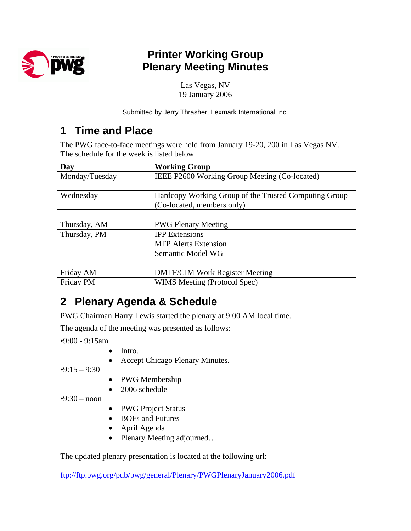

## **Printer Working Group Plenary Meeting Minutes**

Las Vegas, NV 19 January 2006

Submitted by Jerry Thrasher, Lexmark International Inc.

## **1 Time and Place**

The PWG face-to-face meetings were held from January 19-20, 200 in Las Vegas NV. The schedule for the week is listed below.

| Day            | <b>Working Group</b>                                  |  |
|----------------|-------------------------------------------------------|--|
| Monday/Tuesday | IEEE P2600 Working Group Meeting (Co-located)         |  |
|                |                                                       |  |
| Wednesday      | Hardcopy Working Group of the Trusted Computing Group |  |
|                | (Co-located, members only)                            |  |
|                |                                                       |  |
| Thursday, AM   | <b>PWG Plenary Meeting</b>                            |  |
| Thursday, PM   | <b>IPP</b> Extensions<br><b>MFP</b> Alerts Extension  |  |
|                |                                                       |  |
|                | Semantic Model WG                                     |  |
|                |                                                       |  |
| Friday AM      | <b>DMTF/CIM Work Register Meeting</b>                 |  |
| Friday PM      | WIMS Meeting (Protocol Spec)                          |  |

## **2 Plenary Agenda & Schedule**

PWG Chairman Harry Lewis started the plenary at 9:00 AM local time.

The agenda of the meeting was presented as follows:

•9:00 - 9:15am

- Intro.
- Accept Chicago Plenary Minutes.

 $•9:15 - 9:30$ 

- PWG Membership
- 2006 schedule

 $•9:30 - noon$ 

- PWG Project Status
- BOFs and Futures
- April Agenda
- Plenary Meeting adjourned...

The updated plenary presentation is located at the following url:

<ftp://ftp.pwg.org/pub/pwg/general/Plenary/PWGPlenaryJanuary2006.pdf>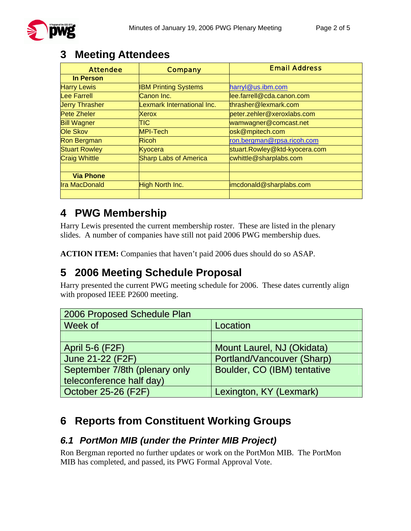| <b>Attendee</b>       | <b>Company</b>               | <b>Email Address</b>          |
|-----------------------|------------------------------|-------------------------------|
| <b>In Person</b>      |                              |                               |
| <b>Harry Lewis</b>    | <b>IBM Printing Systems</b>  | harryl@us.ibm.com             |
| <b>Lee Farrell</b>    | Canon Inc.                   | lee.farrell@cda.canon.com     |
| <b>Jerry Thrasher</b> | Lexmark International Inc.   | thrasher@lexmark.com          |
| <b>Pete Zheler</b>    | Xerox                        | peter.zehler@xeroxlabs.com    |
| <b>Bill Wagner</b>    | TIC                          | wamwagner@comcast.net         |
| <b>Ole Skov</b>       | MPI-Tech                     | osk@mpitech.com               |
| <b>Ron Bergman</b>    | <b>Ricoh</b>                 | ron.bergman@rpsa.ricoh.com    |
| <b>Stuart Rowley</b>  | Kyocera                      | stuart.Rowley@ktd-kyocera.com |
| <b>Craig Whittle</b>  | <b>Sharp Labs of America</b> | cwhittle@sharplabs.com        |
|                       |                              |                               |
| <b>Via Phone</b>      |                              |                               |
| <b>Ira MacDonald</b>  | <b>High North Inc.</b>       | imcdonald@sharplabs.com       |
|                       |                              |                               |

## **3 Meeting Attendees**

## **4 PWG Membership**

Harry Lewis presented the current membership roster. These are listed in the plenary slides. A number of companies have still not paid 2006 PWG membership dues.

**ACTION ITEM:** Companies that haven't paid 2006 dues should do so ASAP.

## **5 2006 Meeting Schedule Proposal**

Harry presented the current PWG meeting schedule for 2006. These dates currently align with proposed IEEE P2600 meeting.

| 2006 Proposed Schedule Plan   |                             |  |
|-------------------------------|-----------------------------|--|
| Week of                       | Location                    |  |
|                               |                             |  |
| <b>April 5-6 (F2F)</b>        | Mount Laurel, NJ (Okidata)  |  |
| June 21-22 (F2F)              | Portland/Vancouver (Sharp)  |  |
| September 7/8th (plenary only | Boulder, CO (IBM) tentative |  |
| teleconference half day)      |                             |  |
| <b>October 25-26 (F2F)</b>    | Lexington, KY (Lexmark)     |  |

## **6 Reports from Constituent Working Groups**

#### *6.1 PortMon MIB (under the Printer MIB Project)*

Ron Bergman reported no further updates or work on the PortMon MIB. The PortMon MIB has completed, and passed, its PWG Formal Approval Vote.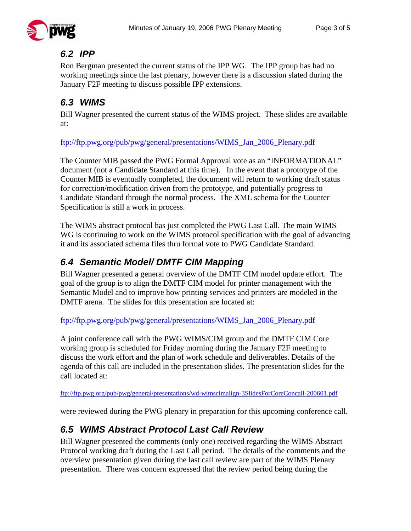#### *6.2 IPP*

Ron Bergman presented the current status of the IPP WG. The IPP group has had no working meetings since the last plenary, however there is a discussion slated during the January F2F meeting to discuss possible IPP extensions.

## *6.3 WIMS*

Bill Wagner presented the current status of the WIMS project. These slides are available at:

ftp://ftp.pwg.org/pub/pwg/general/presentations/WIMS\_Jan\_2006\_Plenary.pdf

The Counter MIB passed the PWG Formal Approval vote as an "INFORMATIONAL" document (not a Candidate Standard at this time). In the event that a prototype of the Counter MIB is eventually completed, the document will return to working draft status for correction/modification driven from the prototype, and potentially progress to Candidate Standard through the normal process. The XML schema for the Counter Specification is still a work in process.

The WIMS abstract protocol has just completed the PWG Last Call. The main WIMS WG is continuing to work on the WIMS protocol specification with the goal of advancing it and its associated schema files thru formal vote to PWG Candidate Standard.

## *6.4 Semantic Model/ DMTF CIM Mapping*

Bill Wagner presented a general overview of the DMTF CIM model update effort. The goal of the group is to align the DMTF CIM model for printer management with the Semantic Model and to improve how printing services and printers are modeled in the DMTF arena. The slides for this presentation are located at:

[ftp://ftp.pwg.org/pub/pwg/general/presentations/WIMS\\_Jan\\_2006\\_Plenary.pdf](ftp://ftp.pwg.org/pub/pwg/general/presentations/WIMS_Jan_2006_Plenary.pdf)

A joint conference call with the PWG WIMS/CIM group and the DMTF CIM Core working group is scheduled for Friday morning during the January F2F meeting to discuss the work effort and the plan of work schedule and deliverables. Details of the agenda of this call are included in the presentation slides. The presentation slides for the call located at:

<ftp://ftp.pwg.org/pub/pwg/general/presentations/wd-wimscimalign-3SlidesForCoreConcall-200601.pdf>

were reviewed during the PWG plenary in preparation for this upcoming conference call.

## *6.5 WIMS Abstract Protocol Last Call Review*

Bill Wagner presented the comments (only one) received regarding the WIMS Abstract Protocol working draft during the Last Call period. The details of the comments and the overview presentation given during the last call review are part of the WIMS Plenary presentation. There was concern expressed that the review period being during the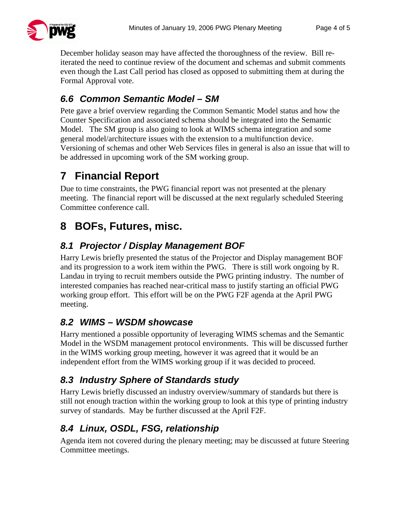

December holiday season may have affected the thoroughness of the review. Bill reiterated the need to continue review of the document and schemas and submit comments even though the Last Call period has closed as opposed to submitting them at during the Formal Approval vote.

### *6.6 Common Semantic Model – SM*

Pete gave a brief overview regarding the Common Semantic Model status and how the Counter Specification and associated schema should be integrated into the Semantic Model. The SM group is also going to look at WIMS schema integration and some general model/architecture issues with the extension to a multifunction device. Versioning of schemas and other Web Services files in general is also an issue that will to be addressed in upcoming work of the SM working group.

## **7 Financial Report**

Due to time constraints, the PWG financial report was not presented at the plenary meeting. The financial report will be discussed at the next regularly scheduled Steering Committee conference call.

## **8 BOFs, Futures, misc.**

### *8.1 Projector / Display Management BOF*

Harry Lewis briefly presented the status of the Projector and Display management BOF and its progression to a work item within the PWG. There is still work ongoing by R. Landau in trying to recruit members outside the PWG printing industry. The number of interested companies has reached near-critical mass to justify starting an official PWG working group effort. This effort will be on the PWG F2F agenda at the April PWG meeting.

### *8.2 WIMS – WSDM showcase*

Harry mentioned a possible opportunity of leveraging WIMS schemas and the Semantic Model in the WSDM management protocol environments. This will be discussed further in the WIMS working group meeting, however it was agreed that it would be an independent effort from the WIMS working group if it was decided to proceed.

### *8.3 Industry Sphere of Standards study*

Harry Lewis briefly discussed an industry overview/summary of standards but there is still not enough traction within the working group to look at this type of printing industry survey of standards. May be further discussed at the April F2F.

## *8.4 Linux, OSDL, FSG, relationship*

Agenda item not covered during the plenary meeting; may be discussed at future Steering Committee meetings.